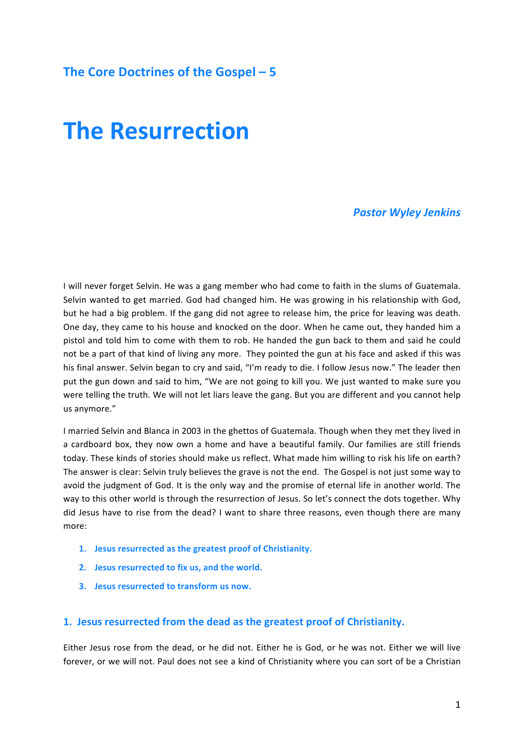## The Core Doctrines of the Gospel – 5

# **The Resurrection**

## *Pastor Wyley Jenkins*

I will never forget Selvin. He was a gang member who had come to faith in the slums of Guatemala. Selvin wanted to get married. God had changed him. He was growing in his relationship with God, but he had a big problem. If the gang did not agree to release him, the price for leaving was death. One day, they came to his house and knocked on the door. When he came out, they handed him a pistol and told him to come with them to rob. He handed the gun back to them and said he could not be a part of that kind of living any more. They pointed the gun at his face and asked if this was his final answer. Selvin began to cry and said, "I'm ready to die. I follow Jesus now." The leader then put the gun down and said to him, "We are not going to kill you. We just wanted to make sure you were telling the truth. We will not let liars leave the gang. But you are different and you cannot help us anymore."

I married Selvin and Blanca in 2003 in the ghettos of Guatemala. Though when they met they lived in a cardboard box, they now own a home and have a beautiful family. Our families are still friends today. These kinds of stories should make us reflect. What made him willing to risk his life on earth? The answer is clear: Selvin truly believes the grave is not the end. The Gospel is not just some way to avoid the judgment of God. It is the only way and the promise of eternal life in another world. The way to this other world is through the resurrection of Jesus. So let's connect the dots together. Why did Jesus have to rise from the dead? I want to share three reasons, even though there are many more:

- 1. Jesus resurrected as the greatest proof of Christianity.
- **2. Jesus resurrected to fix us, and the world.**
- **3. Jesus resurrected to transform us now.**

#### **1. Jesus resurrected from the dead as the greatest proof of Christianity.**

Either Jesus rose from the dead, or he did not. Either he is God, or he was not. Either we will live forever, or we will not. Paul does not see a kind of Christianity where you can sort of be a Christian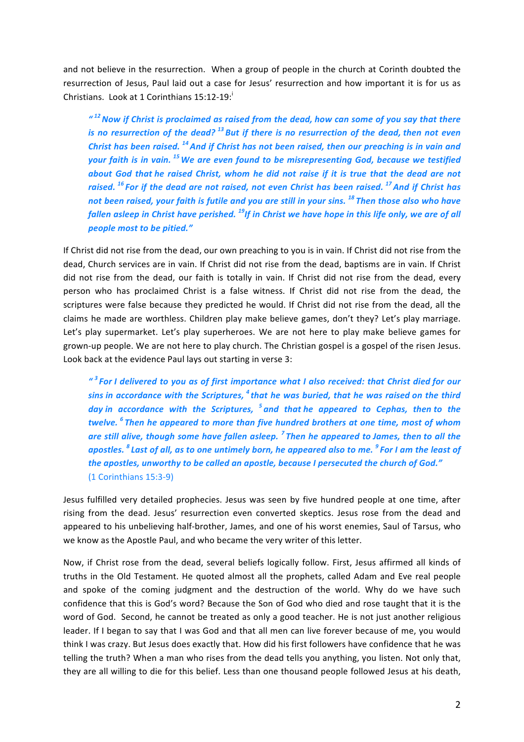and not believe in the resurrection. When a group of people in the church at Corinth doubted the resurrection of Jesus, Paul laid out a case for Jesus' resurrection and how important it is for us as Christians. Look at 1 Corinthians 15:12-19:

<sup>"12</sup> Now if Christ is proclaimed as raised from the dead, how can some of you say that there *is* no resurrection of the dead?<sup>13</sup> But if there is no resurrection of the dead, then not even *Christ has been raised.* <sup>14</sup> And if *Christ has not been raised, then our preaching is in vain and your faith is in vain.* <sup>15</sup> We are even found to be misrepresenting God, because we testified *about* God that he raised Christ, whom he did not raise if it is true that the dead are not *raised.* <sup>16</sup> For if the dead are not raised, not even Christ has been raised. <sup>17</sup> And if Christ has *not been raised, your faith is futile and you are still in your sins.* <sup>18</sup> *Then those also who have fallen asleep in Christ have perished.* <sup>19</sup>If in Christ we have hope in this life only, we are of all *people most to be pitied."* 

If Christ did not rise from the dead, our own preaching to you is in vain. If Christ did not rise from the dead, Church services are in vain. If Christ did not rise from the dead, baptisms are in vain. If Christ did not rise from the dead, our faith is totally in vain. If Christ did not rise from the dead, every person who has proclaimed Christ is a false witness. If Christ did not rise from the dead, the scriptures were false because they predicted he would. If Christ did not rise from the dead, all the claims he made are worthless. Children play make believe games, don't they? Let's play marriage. Let's play supermarket. Let's play superheroes. We are not here to play make believe games for grown-up people. We are not here to play church. The Christian gospel is a gospel of the risen Jesus. Look back at the evidence Paul lays out starting in verse 3:

*" <sup>3</sup> For I delivered to you as of first importance what I also received: that Christ died for our sins* in accordance with the Scriptures, <sup>4</sup> that he was buried, that he was raised on the third *day* in accordance with the Scriptures, <sup>5</sup> and that he appeared to Cephas, then to the *twelve.* <sup>6</sup> Then he appeared to more than five hundred brothers at one time, most of whom *are still alive, though some have fallen asleep.* <sup>7</sup> *Then he appeared to James, then to all the apostles.* <sup>8</sup> Last of all, as to one untimely born, he appeared also to me. <sup>9</sup> For *I* am the least of the apostles, unworthy to be called an apostle, because *I* persecuted the church of God." (1 Corinthians 15:3-9)

Jesus fulfilled very detailed prophecies. Jesus was seen by five hundred people at one time, after rising from the dead. Jesus' resurrection even converted skeptics. Jesus rose from the dead and appeared to his unbelieving half-brother, James, and one of his worst enemies, Saul of Tarsus, who we know as the Apostle Paul, and who became the very writer of this letter.

Now, if Christ rose from the dead, several beliefs logically follow. First, Jesus affirmed all kinds of truths in the Old Testament. He quoted almost all the prophets, called Adam and Eve real people and spoke of the coming judgment and the destruction of the world. Why do we have such confidence that this is God's word? Because the Son of God who died and rose taught that it is the word of God. Second, he cannot be treated as only a good teacher. He is not just another religious leader. If I began to say that I was God and that all men can live forever because of me, you would think I was crazy. But Jesus does exactly that. How did his first followers have confidence that he was telling the truth? When a man who rises from the dead tells you anything, you listen. Not only that, they are all willing to die for this belief. Less than one thousand people followed Jesus at his death,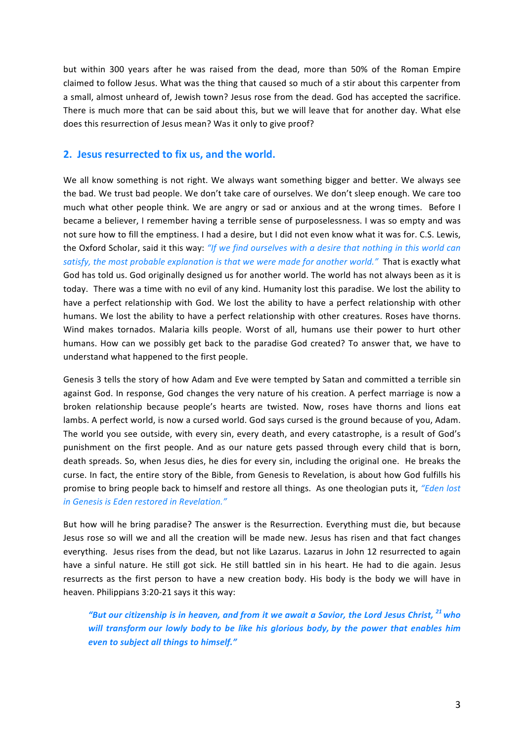but within 300 years after he was raised from the dead, more than 50% of the Roman Empire claimed to follow Jesus. What was the thing that caused so much of a stir about this carpenter from a small, almost unheard of, Jewish town? Jesus rose from the dead. God has accepted the sacrifice. There is much more that can be said about this, but we will leave that for another day. What else does this resurrection of Jesus mean? Was it only to give proof?

#### **2. Jesus resurrected to fix us, and the world.**

We all know something is not right. We always want something bigger and better. We always see the bad. We trust bad people. We don't take care of ourselves. We don't sleep enough. We care too much what other people think. We are angry or sad or anxious and at the wrong times. Before I became a believer, I remember having a terrible sense of purposelessness. I was so empty and was not sure how to fill the emptiness. I had a desire, but I did not even know what it was for. C.S. Lewis, the Oxford Scholar, said it this way: "If we find ourselves with a desire that nothing in this world can satisfy, the most probable explanation is that we were made for another world." That is exactly what God has told us. God originally designed us for another world. The world has not always been as it is today. There was a time with no evil of any kind. Humanity lost this paradise. We lost the ability to have a perfect relationship with God. We lost the ability to have a perfect relationship with other humans. We lost the ability to have a perfect relationship with other creatures. Roses have thorns. Wind makes tornados. Malaria kills people. Worst of all, humans use their power to hurt other humans. How can we possibly get back to the paradise God created? To answer that, we have to understand what happened to the first people.

Genesis 3 tells the story of how Adam and Eve were tempted by Satan and committed a terrible sin against God. In response, God changes the very nature of his creation. A perfect marriage is now a broken relationship because people's hearts are twisted. Now, roses have thorns and lions eat lambs. A perfect world, is now a cursed world. God says cursed is the ground because of you, Adam. The world you see outside, with every sin, every death, and every catastrophe, is a result of God's punishment on the first people. And as our nature gets passed through every child that is born, death spreads. So, when Jesus dies, he dies for every sin, including the original one. He breaks the curse. In fact, the entire story of the Bible, from Genesis to Revelation, is about how God fulfills his promise to bring people back to himself and restore all things. As one theologian puts it, "*Eden lost in Genesis is Eden restored in Revelation."*

But how will he bring paradise? The answer is the Resurrection. Everything must die, but because Jesus rose so will we and all the creation will be made new. Jesus has risen and that fact changes everything. Jesus rises from the dead, but not like Lazarus. Lazarus in John 12 resurrected to again have a sinful nature. He still got sick. He still battled sin in his heart. He had to die again. Jesus resurrects as the first person to have a new creation body. His body is the body we will have in heaven. Philippians 3:20-21 says it this way:

*"But our citizenship is in heaven, and from it we await a Savior, the Lord Jesus Christ, 21who will transform our lowly body to be like his glorious body, by the power that enables him even* to subject all things to himself."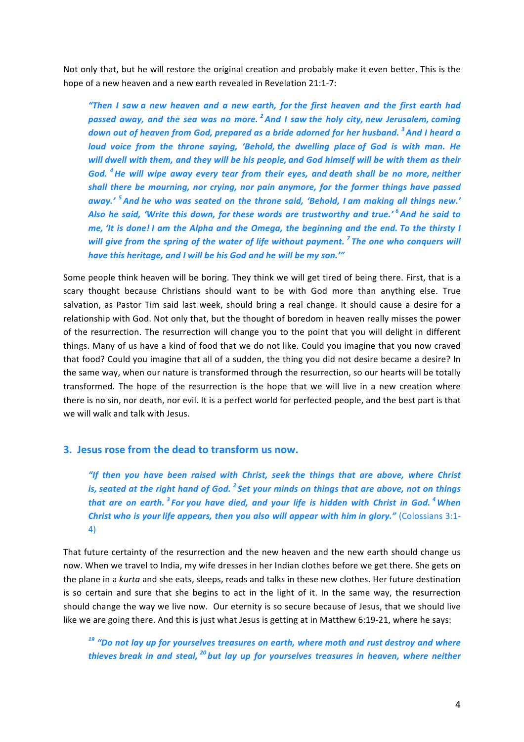Not only that, but he will restore the original creation and probably make it even better. This is the hope of a new heaven and a new earth revealed in Revelation 21:1-7:

*"Then* I saw a new heaven and a new earth, for the first heaven and the first earth had *passed away, and the sea was no more.* <sup>2</sup>And I saw the holy city, new Jerusalem, coming *down* out of heaven from God, prepared as a bride adorned for her husband. <sup>3</sup>And I heard a *loud* voice from the throne saying, 'Behold, the dwelling place of God is with man. He *will* dwell with them, and they will be his people, and God himself will be with them as their *God.* <sup>4</sup> He will wipe away every tear from their eyes, and death shall be no more, neither shall there be mourning, nor crying, nor pain anymore, for the former things have passed *away.'*<sup>5</sup> And he who was seated on the throne said, 'Behold, I am making all things new.' Also he said, 'Write this down, for these words are trustworthy and true.' <sup>6</sup>And he said to *me,* 'It is done! I am the Alpha and the Omega, the beginning and the end. To the thirsty I *will give from the spring of the water of life without payment.* <sup>7</sup> *The one who conquers will* have this heritage, and *I* will be his God and he will be my son.'"

Some people think heaven will be boring. They think we will get tired of being there. First, that is a scary thought because Christians should want to be with God more than anything else. True salvation, as Pastor Tim said last week, should bring a real change. It should cause a desire for a relationship with God. Not only that, but the thought of boredom in heaven really misses the power of the resurrection. The resurrection will change you to the point that you will delight in different things. Many of us have a kind of food that we do not like. Could you imagine that you now craved that food? Could you imagine that all of a sudden, the thing you did not desire became a desire? In the same way, when our nature is transformed through the resurrection, so our hearts will be totally transformed. The hope of the resurrection is the hope that we will live in a new creation where there is no sin, nor death, nor evil. It is a perfect world for perfected people, and the best part is that we will walk and talk with Jesus.

#### **3.** Jesus rose from the dead to transform us now.

"If then you have been raised with Christ, seek the things that are above, where Christ *is,* seated at the right hand of God.<sup>2</sup> Set your minds on things that are above, not on things *that are on earth.* <sup>3</sup> *For you have died, and your life is hidden with Christ in God.* <sup>4</sup> When *Christ* who is your life appears, then you also will appear with him in glory." (Colossians 3:1-4)

That future certainty of the resurrection and the new heaven and the new earth should change us now. When we travel to India, my wife dresses in her Indian clothes before we get there. She gets on the plane in a *kurta* and she eats, sleeps, reads and talks in these new clothes. Her future destination is so certain and sure that she begins to act in the light of it. In the same way, the resurrection should change the way we live now. Our eternity is so secure because of Jesus, that we should live like we are going there. And this is just what Jesus is getting at in Matthew 6:19-21, where he says:

<sup>19</sup> "Do not lay up for yourselves treasures on earth, where moth and rust destroy and where *thieves* break in and steal, <sup>20</sup> but lay up for yourselves treasures in heaven, where neither